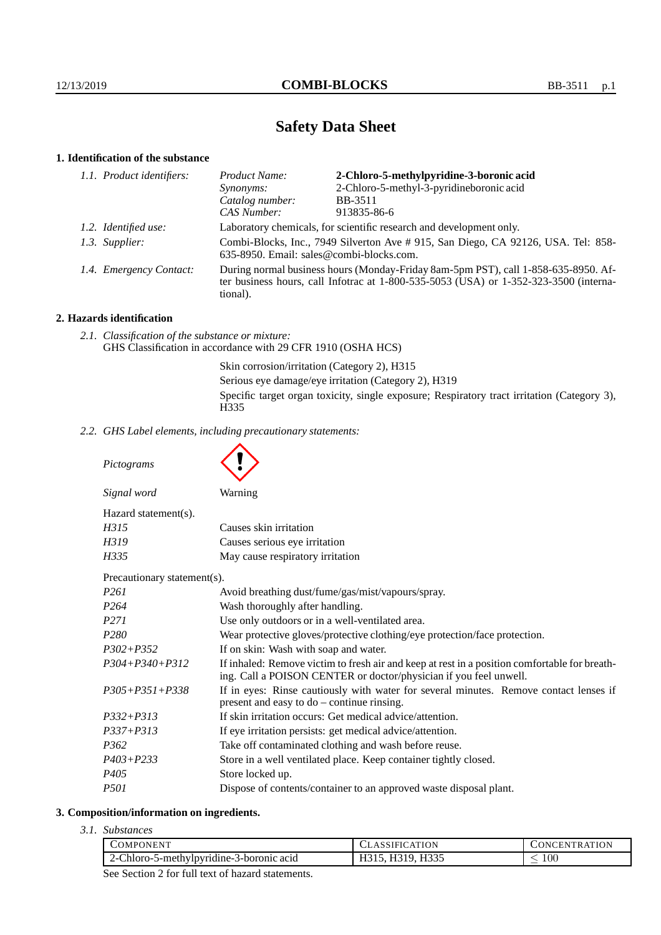# **Safety Data Sheet**

## **1. Identification of the substance**

| 1.1. Product identifiers: | Product Name:                                                                                                                                                                           | 2-Chloro-5-methylpyridine-3-boronic acid |
|---------------------------|-----------------------------------------------------------------------------------------------------------------------------------------------------------------------------------------|------------------------------------------|
|                           | Synonyms:                                                                                                                                                                               | 2-Chloro-5-methyl-3-pyridineboronic acid |
|                           | Catalog number:                                                                                                                                                                         | <b>BB-3511</b>                           |
|                           | CAS Number:                                                                                                                                                                             | 913835-86-6                              |
| 1.2. Identified use:      | Laboratory chemicals, for scientific research and development only.                                                                                                                     |                                          |
| 1.3. Supplier:            | Combi-Blocks, Inc., 7949 Silverton Ave # 915, San Diego, CA 92126, USA. Tel: 858-<br>635-8950. Email: sales@combi-blocks.com.                                                           |                                          |
| 1.4. Emergency Contact:   | During normal business hours (Monday-Friday 8am-5pm PST), call 1-858-635-8950. Af-<br>ter business hours, call Infotrac at 1-800-535-5053 (USA) or 1-352-323-3500 (interna-<br>tional). |                                          |

## **2. Hazards identification**

*2.1. Classification of the substance or mixture:* GHS Classification in accordance with 29 CFR 1910 (OSHA HCS)

> Skin corrosion/irritation (Category 2), H315 Serious eye damage/eye irritation (Category 2), H319 Specific target organ toxicity, single exposure; Respiratory tract irritation (Category 3), H335

*2.2. GHS Label elements, including precautionary statements:*

*Pictograms*

| Signal word          | Warning                          |
|----------------------|----------------------------------|
| Hazard statement(s). |                                  |
| H315                 | Causes skin irritation           |
| H319                 | Causes serious eye irritation    |
| H335                 | May cause respiratory irritation |

Precautionary statement(s).

| I I CLAULIONAI Y STATCHICHTS <i>)</i> . |                                                                                                                                                                    |
|-----------------------------------------|--------------------------------------------------------------------------------------------------------------------------------------------------------------------|
| P261                                    | Avoid breathing dust/fume/gas/mist/vapours/spray.                                                                                                                  |
| P264                                    | Wash thoroughly after handling.                                                                                                                                    |
| P271                                    | Use only outdoors or in a well-ventilated area.                                                                                                                    |
| P280                                    | Wear protective gloves/protective clothing/eye protection/face protection.                                                                                         |
| P302+P352                               | If on skin: Wash with soap and water.                                                                                                                              |
| P304+P340+P312                          | If inhaled: Remove victim to fresh air and keep at rest in a position comfortable for breath-<br>ing. Call a POISON CENTER or doctor/physician if you feel unwell. |
| P305+P351+P338                          | If in eyes: Rinse cautiously with water for several minutes. Remove contact lenses if<br>present and easy to $do$ – continue rinsing.                              |
| P332+P313                               | If skin irritation occurs: Get medical advice/attention.                                                                                                           |
| P337+P313                               | If eye irritation persists: get medical advice/attention.                                                                                                          |
| P362                                    | Take off contaminated clothing and wash before reuse.                                                                                                              |
| P403+P233                               | Store in a well ventilated place. Keep container tightly closed.                                                                                                   |
| P405                                    | Store locked up.                                                                                                                                                   |
| P501                                    | Dispose of contents/container to an approved waste disposal plant.                                                                                                 |
|                                         |                                                                                                                                                                    |

## **3. Composition/information on ingredients.**

*3.1. Substances*

| -Chloro-5-methylpyridine-3-boronic acid<br>319. H335<br>$100\,$<br>$2 - 1$<br>. | COMPONENT | <b>ATION</b><br>SIFIC | <b>ATION</b><br>TR A'<br>N<br>FN |
|---------------------------------------------------------------------------------|-----------|-----------------------|----------------------------------|
|                                                                                 |           |                       |                                  |

See Section 2 for full text of hazard statements.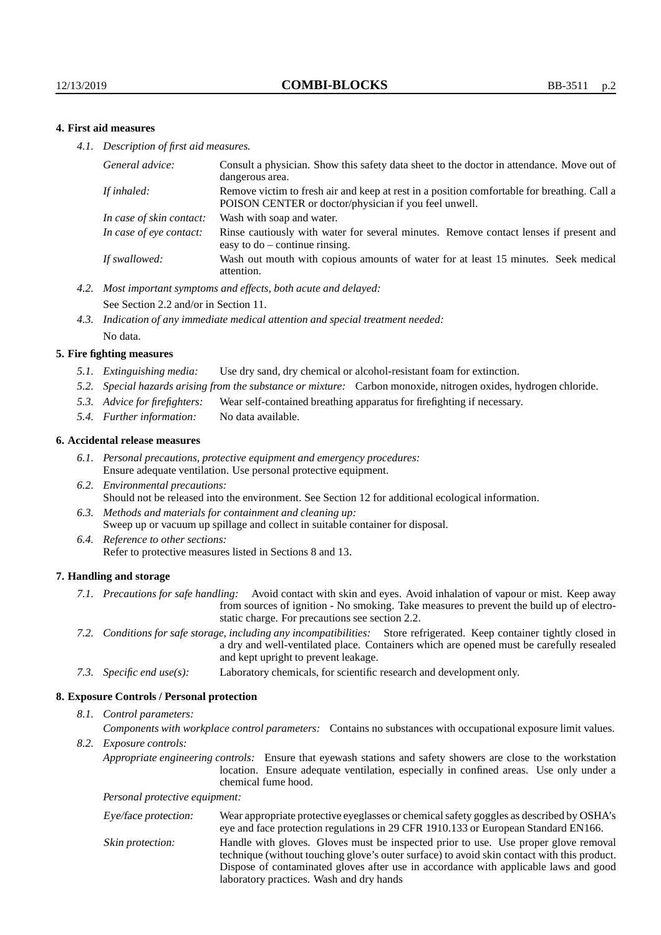### **4. First aid measures**

*4.1. Description of first aid measures.*

| General advice:          | Consult a physician. Show this safety data sheet to the doctor in attendance. Move out of<br>dangerous area.                                         |
|--------------------------|------------------------------------------------------------------------------------------------------------------------------------------------------|
| If inhaled:              | Remove victim to fresh air and keep at rest in a position comfortable for breathing. Call a<br>POISON CENTER or doctor/physician if you feel unwell. |
| In case of skin contact: | Wash with soap and water.                                                                                                                            |
| In case of eye contact:  | Rinse cautiously with water for several minutes. Remove contact lenses if present and<br>easy to $do$ – continue rinsing.                            |
| If swallowed:            | Wash out mouth with copious amounts of water for at least 15 minutes. Seek medical<br>attention.                                                     |

- *4.2. Most important symptoms and effects, both acute and delayed:* See Section 2.2 and/or in Section 11.
- *4.3. Indication of any immediate medical attention and special treatment needed:* No data.

#### **5. Fire fighting measures**

- *5.1. Extinguishing media:* Use dry sand, dry chemical or alcohol-resistant foam for extinction.
- *5.2. Special hazards arising from the substance or mixture:* Carbon monoxide, nitrogen oxides, hydrogen chloride.
- *5.3. Advice for firefighters:* Wear self-contained breathing apparatus for firefighting if necessary.
- *5.4. Further information:* No data available.

#### **6. Accidental release measures**

- *6.1. Personal precautions, protective equipment and emergency procedures:* Ensure adequate ventilation. Use personal protective equipment.
- *6.2. Environmental precautions:* Should not be released into the environment. See Section 12 for additional ecological information.
- *6.3. Methods and materials for containment and cleaning up:* Sweep up or vacuum up spillage and collect in suitable container for disposal.
- *6.4. Reference to other sections:* Refer to protective measures listed in Sections 8 and 13.

#### **7. Handling and storage**

- *7.1. Precautions for safe handling:* Avoid contact with skin and eyes. Avoid inhalation of vapour or mist. Keep away from sources of ignition - No smoking. Take measures to prevent the build up of electrostatic charge. For precautions see section 2.2.
- *7.2. Conditions for safe storage, including any incompatibilities:* Store refrigerated. Keep container tightly closed in a dry and well-ventilated place. Containers which are opened must be carefully resealed and kept upright to prevent leakage.
- *7.3. Specific end use(s):* Laboratory chemicals, for scientific research and development only.

#### **8. Exposure Controls / Personal protection**

*8.1. Control parameters:*

*Components with workplace control parameters:* Contains no substances with occupational exposure limit values.

*8.2. Exposure controls:*

*Appropriate engineering controls:* Ensure that eyewash stations and safety showers are close to the workstation location. Ensure adequate ventilation, especially in confined areas. Use only under a chemical fume hood.

*Personal protective equipment:*

| Eye/face protection: | Wear appropriate protective eyeglasses or chemical safety goggles as described by OSHA's<br>eye and face protection regulations in 29 CFR 1910.133 or European Standard EN166.                                                                                                                                         |
|----------------------|------------------------------------------------------------------------------------------------------------------------------------------------------------------------------------------------------------------------------------------------------------------------------------------------------------------------|
| Skin protection:     | Handle with gloves. Gloves must be inspected prior to use. Use proper glove removal<br>technique (without touching glove's outer surface) to avoid skin contact with this product.<br>Dispose of contaminated gloves after use in accordance with applicable laws and good<br>laboratory practices. Wash and dry hands |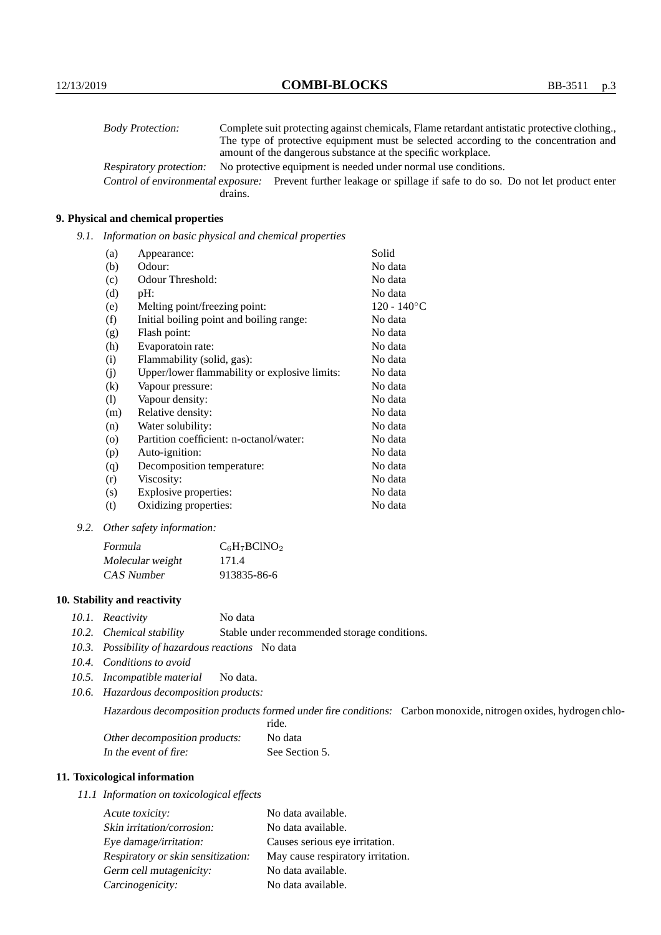| <b>Body Protection:</b> | Complete suit protecting against chemicals, Flame retardant antistatic protective clothing.                       |
|-------------------------|-------------------------------------------------------------------------------------------------------------------|
|                         | The type of protective equipment must be selected according to the concentration and                              |
|                         | amount of the dangerous substance at the specific workplace.                                                      |
| Respiratory protection: | No protective equipment is needed under normal use conditions.                                                    |
|                         | Control of environmental exposure: Prevent further leakage or spillage if safe to do so. Do not let product enter |
|                         | drains.                                                                                                           |

## **9. Physical and chemical properties**

*9.1. Information on basic physical and chemical properties*

| (a)                        | Appearance:                                   | Solid          |
|----------------------------|-----------------------------------------------|----------------|
| (b)                        | Odour:                                        | No data        |
| (c)                        | Odour Threshold:                              | No data        |
| (d)                        | pH:                                           | No data        |
| (e)                        | Melting point/freezing point:                 | $120 - 140$ °C |
| (f)                        | Initial boiling point and boiling range:      | No data        |
| (g)                        | Flash point:                                  | No data        |
| (h)                        | Evaporatoin rate:                             | No data        |
| (i)                        | Flammability (solid, gas):                    | No data        |
| (j)                        | Upper/lower flammability or explosive limits: | No data        |
| $\left( k\right)$          | Vapour pressure:                              | No data        |
| $\left( \mathrm{l}\right)$ | Vapour density:                               | No data        |
| (m)                        | Relative density:                             | No data        |
| (n)                        | Water solubility:                             | No data        |
| $\circ$                    | Partition coefficient: n-octanol/water:       | No data        |
| (p)                        | Auto-ignition:                                | No data        |
| (q)                        | Decomposition temperature:                    | No data        |
| (r)                        | Viscosity:                                    | No data        |
| (s)                        | Explosive properties:                         | No data        |
| (t)                        | Oxidizing properties:                         | No data        |

*9.2. Other safety information:*

| Formula          | $C_6H_7BCINO_2$ |
|------------------|-----------------|
| Molecular weight | 171.4           |
| CAS Number       | 913835-86-6     |

## **10. Stability and reactivity**

- *10.1. Reactivity* No data
- *10.2. Chemical stability* Stable under recommended storage conditions.
- *10.3. Possibility of hazardous reactions* No data
- *10.4. Conditions to avoid*
- *10.5. Incompatible material* No data.
- *10.6. Hazardous decomposition products:*

Hazardous decomposition products formed under fire conditions: Carbon monoxide, nitrogen oxides, hydrogen chlo-

|                               | ride.          |
|-------------------------------|----------------|
| Other decomposition products: | No data        |
| In the event of fire:         | See Section 5. |

## **11. Toxicological information**

*11.1 Information on toxicological effects*

| Acute toxicity:                    | No data available.                |
|------------------------------------|-----------------------------------|
| Skin irritation/corrosion:         | No data available.                |
| Eye damage/irritation:             | Causes serious eye irritation.    |
| Respiratory or skin sensitization: | May cause respiratory irritation. |
| Germ cell mutagenicity:            | No data available.                |
| Carcinogenicity:                   | No data available.                |